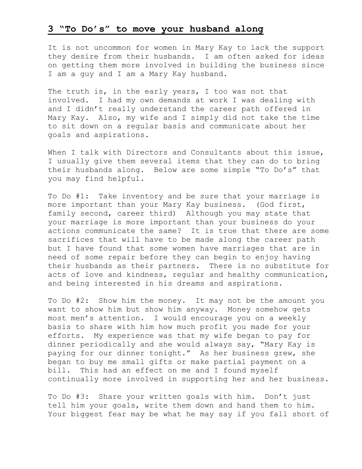## **3 "To Do's" to move your husband along**

It is not uncommon for women in Mary Kay to lack the support they desire from their husbands. I am often asked for ideas on getting them more involved in building the business since I am a guy and I am a Mary Kay husband.

The truth is, in the early years, I too was not that involved. I had my own demands at work I was dealing with and I didn't really understand the career path offered in Mary Kay. Also, my wife and I simply did not take the time to sit down on a regular basis and communicate about her goals and aspirations.

When I talk with Directors and Consultants about this issue, I usually give them several items that they can do to bring their husbands along. Below are some simple "To Do's" that you may find helpful.

To Do #1: Take inventory and be sure that your marriage is more important than your Mary Kay business. (God first, family second, career third) Although you may state that your marriage is more important than your business do your actions communicate the same? It is true that there are some sacrifices that will have to be made along the career path but I have found that some women have marriages that are in need of some repair before they can begin to enjoy having their husbands as their partners. There is no substitute for acts of love and kindness, regular and healthy communication, and being interested in his dreams and aspirations.

To Do #2: Show him the money. It may not be the amount you want to show him but show him anyway. Money somehow gets most men's attention. I would encourage you on a weekly basis to share with him how much profit you made for your efforts. My experience was that my wife began to pay for dinner periodically and she would always say, "Mary Kay is paying for our dinner tonight." As her business grew, she began to buy me small gifts or make partial payment on a bill. This had an effect on me and I found myself continually more involved in supporting her and her business.

To Do #3: Share your written goals with him. Don't just tell him your goals, write them down and hand them to him. Your biggest fear may be what he may say if you fall short of